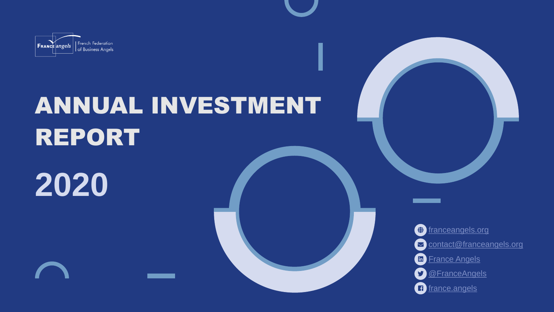

# ANNUAL INVESTMENT REPORT

**2020**



 $\bigoplus$  [franceangels.org](https://franceangels.org/en) Contact@franceangels.org in [France Angels](https://linkedin.com/company/france-angels) **S** [@FranceAngels](https://twitter.com/FranceAngels?ref_src=twsrc%5Egoogle%7Ctwcamp%5Eserp%7Ctwgr%5Eauthor) f [france.angels](https://www.facebook.com/france.angels/)

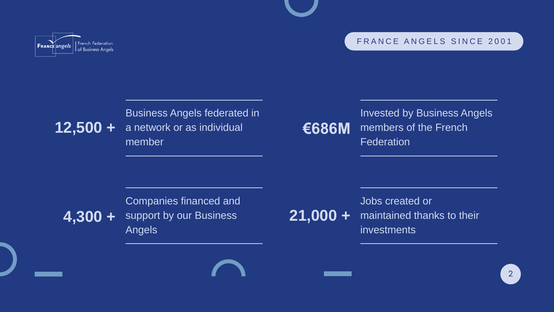



### **12,500 +**

Business Angels federated in a network or as individual member

Invested by Business Angels members of the French **Federation** 

#### **4,300 +** Companies financed and support by our Business Angels



FRANCE ANGELS SINCE 2001

### **€686M**

### **21,000 +**

<u> 1989 - Andrea Maria Barat a Ca</u>

Jobs created or maintained thanks to their investments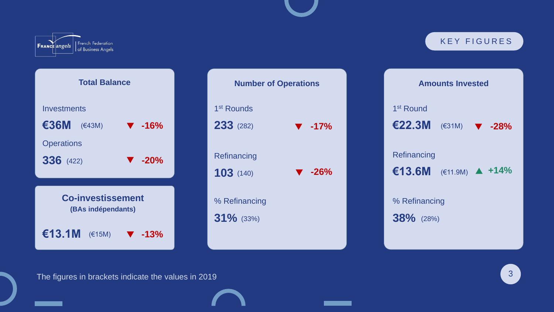

| <b>Amounts Invested</b>            |  |  |  |
|------------------------------------|--|--|--|
| 1 <sup>st</sup> Round              |  |  |  |
| €22.3M $(€31M)$ ▼ -28%             |  |  |  |
| Refinancing                        |  |  |  |
| €13.6M $(€11.9M)$ $\triangle$ +14% |  |  |  |
|                                    |  |  |  |
| % Refinancing                      |  |  |  |
| $38\%$ (28%)                       |  |  |  |





The figures in brackets indicate the values in 2019

![](_page_2_Picture_3.jpeg)

#### KEY FIGURES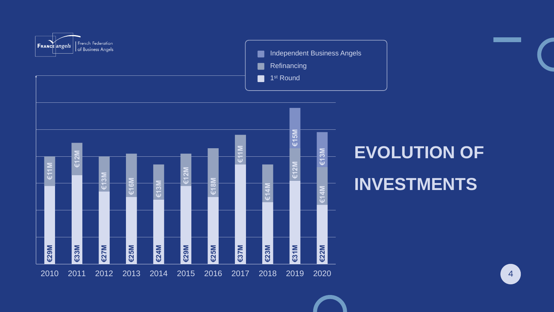![](_page_3_Figure_0.jpeg)

![](_page_3_Figure_1.jpeg)

**Independent Business Angels** Refinancing

## EVOLUTION OF INVESTMENTS

![](_page_3_Picture_5.jpeg)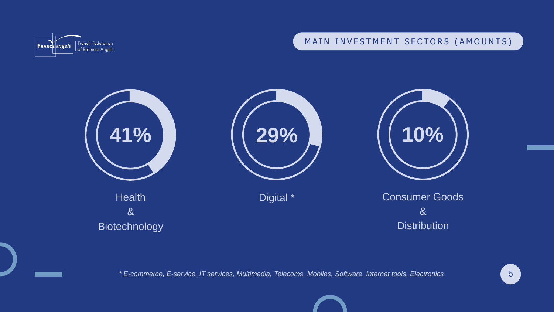Consumer Goods & **Distribution** 

![](_page_4_Picture_9.jpeg)

![](_page_4_Picture_5.jpeg)

Digital \*

![](_page_4_Picture_7.jpeg)

![](_page_4_Picture_0.jpeg)

![](_page_4_Picture_1.jpeg)

![](_page_4_Picture_2.jpeg)

*\* E-commerce, E-service, IT services, Multimedia, Telecoms, Mobiles, Software, Internet tools, Electronics*

#### MAIN INVESTMENT SECTORS (AMOUNTS)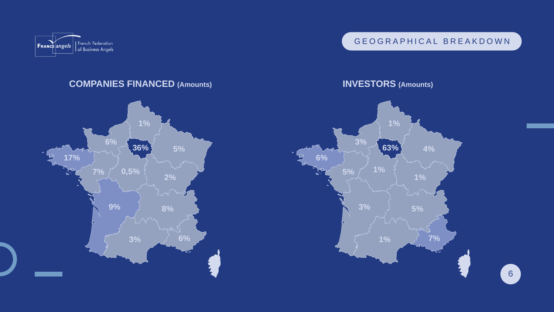![](_page_5_Picture_0.jpeg)

#### **COMPANIES FINANCED (Amounts)**

#### **INVESTORS (Amounts)**

![](_page_5_Figure_5.jpeg)

![](_page_5_Figure_2.jpeg)

#### GEOGRAPHICAL BREAKDOWN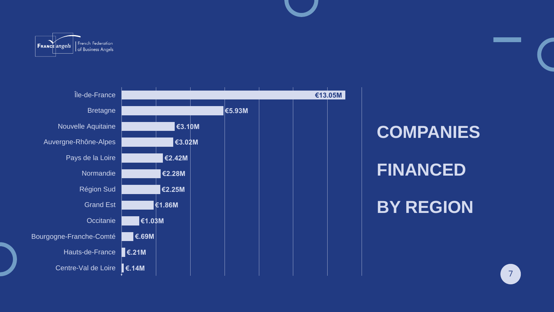![](_page_6_Picture_0.jpeg)

![](_page_6_Figure_1.jpeg)

![](_page_6_Picture_2.jpeg)

COMPANIES FINANCED BY REGION

![](_page_6_Picture_5.jpeg)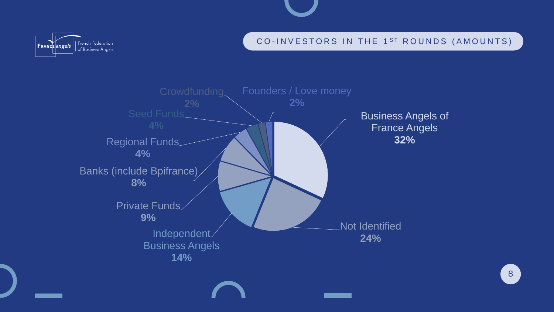8

![](_page_7_Picture_13.jpeg)

Independent **24%** Business Angels **14%**

![](_page_7_Picture_7.jpeg)

#### CO-INVESTORS IN THE 1<sup>ST</sup> ROUNDS (AMOUNTS)

Business Angels of France Angels **32%**

![](_page_7_Picture_11.jpeg)

![](_page_7_Picture_0.jpeg)

![](_page_7_Figure_1.jpeg)

Seed Funds **4%** Crowdfunding **2%**

Private Funds **9%**

Banks (include Bpifrance) **8%**

Regional Funds **4%**

![](_page_7_Figure_9.jpeg)